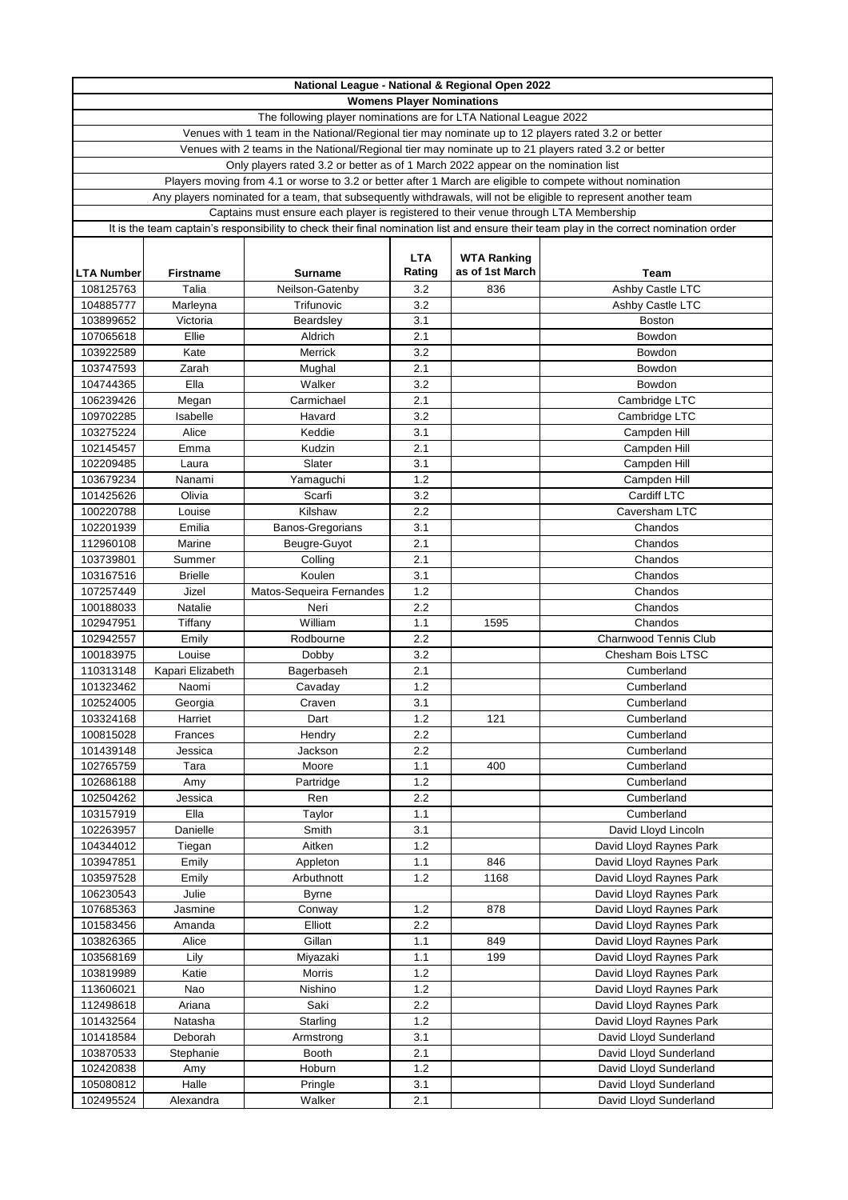| National League - National & Regional Open 2022 |                   |                                                                                                            |            |                    |                                                                                                                                         |
|-------------------------------------------------|-------------------|------------------------------------------------------------------------------------------------------------|------------|--------------------|-----------------------------------------------------------------------------------------------------------------------------------------|
| <b>Womens Player Nominations</b>                |                   |                                                                                                            |            |                    |                                                                                                                                         |
|                                                 |                   | The following player nominations are for LTA National League 2022                                          |            |                    |                                                                                                                                         |
|                                                 |                   | Venues with 1 team in the National/Regional tier may nominate up to 12 players rated 3.2 or better         |            |                    |                                                                                                                                         |
|                                                 |                   | Venues with 2 teams in the National/Regional tier may nominate up to 21 players rated 3.2 or better        |            |                    |                                                                                                                                         |
|                                                 |                   | Only players rated 3.2 or better as of 1 March 2022 appear on the nomination list                          |            |                    |                                                                                                                                         |
|                                                 |                   | Players moving from 4.1 or worse to 3.2 or better after 1 March are eligible to compete without nomination |            |                    |                                                                                                                                         |
|                                                 |                   |                                                                                                            |            |                    | Any players nominated for a team, that subsequently withdrawals, will not be eligible to represent another team                         |
|                                                 |                   | Captains must ensure each player is registered to their venue through LTA Membership                       |            |                    |                                                                                                                                         |
|                                                 |                   |                                                                                                            |            |                    | It is the team captain's responsibility to check their final nomination list and ensure their team play in the correct nomination order |
|                                                 |                   |                                                                                                            | <b>LTA</b> | <b>WTA Ranking</b> |                                                                                                                                         |
| <b>LTA Number</b>                               | Firstname         | <b>Surname</b>                                                                                             | Rating     | as of 1st March    | Team                                                                                                                                    |
| 108125763                                       | Talia             | Neilson-Gatenby                                                                                            | 3.2        | 836                | Ashby Castle LTC                                                                                                                        |
| 104885777                                       | Marleyna          | Trifunovic                                                                                                 | 3.2        |                    | Ashby Castle LTC                                                                                                                        |
| 103899652                                       | Victoria          | Beardsley                                                                                                  | 3.1        |                    | <b>Boston</b>                                                                                                                           |
| 107065618                                       | Ellie             | Aldrich                                                                                                    | 2.1        |                    | Bowdon                                                                                                                                  |
| 103922589                                       | Kate              | Merrick                                                                                                    | 3.2        |                    | Bowdon                                                                                                                                  |
| 103747593                                       | Zarah             | Mughal                                                                                                     | 2.1        |                    | Bowdon                                                                                                                                  |
| 104744365                                       | Ella              | Walker                                                                                                     | 3.2        |                    | Bowdon                                                                                                                                  |
| 106239426                                       | Megan             | Carmichael                                                                                                 | 2.1        |                    | Cambridge LTC                                                                                                                           |
| 109702285                                       | Isabelle          | Havard                                                                                                     | 3.2        |                    | Cambridge LTC                                                                                                                           |
| 103275224                                       | Alice             | Keddie                                                                                                     | 3.1        |                    | Campden Hill                                                                                                                            |
| 102145457                                       | Emma              | Kudzin                                                                                                     | 2.1        |                    | Campden Hill                                                                                                                            |
| 102209485                                       | Laura             | Slater                                                                                                     | 3.1        |                    | Campden Hill                                                                                                                            |
| 103679234                                       | Nanami            | Yamaguchi                                                                                                  | 1.2        |                    | Campden Hill                                                                                                                            |
| 101425626                                       | Olivia            | Scarfi                                                                                                     | 3.2        |                    | Cardiff LTC                                                                                                                             |
| 100220788                                       | Louise            | Kilshaw                                                                                                    | 2.2        |                    | Caversham LTC                                                                                                                           |
| 102201939                                       | Emilia            | Banos-Gregorians                                                                                           | 3.1        |                    | Chandos                                                                                                                                 |
| 112960108                                       | Marine            | Beugre-Guyot                                                                                               | 2.1        |                    | Chandos                                                                                                                                 |
| 103739801                                       | Summer            | Colling                                                                                                    | 2.1        |                    | Chandos                                                                                                                                 |
| 103167516                                       | <b>Brielle</b>    | Koulen                                                                                                     | 3.1        |                    | Chandos                                                                                                                                 |
| 107257449                                       | Jizel             | Matos-Sequeira Fernandes                                                                                   | 1.2        |                    | Chandos                                                                                                                                 |
| 100188033                                       | Natalie           | Neri                                                                                                       | 2.2        |                    | Chandos                                                                                                                                 |
| 102947951                                       | Tiffany           | William                                                                                                    | 1.1        | 1595               | Chandos                                                                                                                                 |
| 102942557                                       | Emily             | Rodbourne                                                                                                  | 2.2        |                    | <b>Charnwood Tennis Club</b>                                                                                                            |
| 100183975                                       | Louise            | Dobby                                                                                                      | 3.2        |                    | Chesham Bois LTSC                                                                                                                       |
| 110313148                                       | Kapari Elizabeth  | Bagerbaseh                                                                                                 | 2.1        |                    | Cumberland                                                                                                                              |
| 101323462                                       | Naomi             | Cavaday                                                                                                    | 1.2        |                    | Cumberland                                                                                                                              |
| 102524005                                       | Georgia           | Craven                                                                                                     | 3.1        |                    | Cumberland                                                                                                                              |
| 103324168                                       | Harriet           | Dart                                                                                                       | 1.2        | 121                | Cumberland                                                                                                                              |
| 100815028                                       | Frances           | Hendry                                                                                                     | 2.2        |                    | Cumberland                                                                                                                              |
| 101439148                                       | Jessica           | Jackson                                                                                                    | 2.2        |                    | Cumberland                                                                                                                              |
| 102765759                                       | Tara              | Moore                                                                                                      | 1.1        | 400                | Cumberland                                                                                                                              |
| 102686188                                       | Amy               | Partridge                                                                                                  | $1.2$      |                    | Cumberland                                                                                                                              |
| 102504262                                       | Jessica           | Ren                                                                                                        | 2.2        |                    | Cumberland                                                                                                                              |
| 103157919                                       | Ella              | Taylor                                                                                                     | 1.1        |                    | Cumberland                                                                                                                              |
| 102263957                                       | Danielle          | Smith                                                                                                      | 3.1        |                    | David Lloyd Lincoln                                                                                                                     |
| 104344012                                       | Tiegan            | Aitken                                                                                                     | 1.2        |                    | David Lloyd Raynes Park                                                                                                                 |
| 103947851                                       | Emily             | Appleton                                                                                                   | 1.1        | 846                | David Lloyd Raynes Park                                                                                                                 |
| 103597528                                       | Emily             | Arbuthnott                                                                                                 | $1.2$      | 1168               | David Lloyd Raynes Park                                                                                                                 |
| 106230543                                       | Julie             | <b>Byrne</b>                                                                                               |            |                    | David Lloyd Raynes Park                                                                                                                 |
| 107685363                                       | Jasmine           | Conway                                                                                                     | 1.2        | 878                | David Lloyd Raynes Park                                                                                                                 |
| 101583456                                       | Amanda            | Elliott                                                                                                    | 2.2        |                    | David Lloyd Raynes Park                                                                                                                 |
| 103826365                                       | Alice             | Gillan                                                                                                     | 1.1<br>1.1 | 849<br>199         | David Lloyd Raynes Park                                                                                                                 |
| 103568169<br>103819989                          | Lily<br>Katie     | Miyazaki<br>Morris                                                                                         | 1.2        |                    | David Lloyd Raynes Park<br>David Lloyd Raynes Park                                                                                      |
| 113606021                                       | Nao               | Nishino                                                                                                    | $1.2$      |                    | David Lloyd Raynes Park                                                                                                                 |
| 112498618                                       |                   | Saki                                                                                                       | 2.2        |                    | David Lloyd Raynes Park                                                                                                                 |
| 101432564                                       | Ariana<br>Natasha | Starling                                                                                                   | 1.2        |                    | David Lloyd Raynes Park                                                                                                                 |
| 101418584                                       | Deborah           | Armstrong                                                                                                  | 3.1        |                    | David Lloyd Sunderland                                                                                                                  |
| 103870533                                       | Stephanie         | <b>Booth</b>                                                                                               | 2.1        |                    | David Lloyd Sunderland                                                                                                                  |
| 102420838                                       | Amy               | Hoburn                                                                                                     | $1.2$      |                    | David Lloyd Sunderland                                                                                                                  |
| 105080812                                       | Halle             | Pringle                                                                                                    | 3.1        |                    | David Lloyd Sunderland                                                                                                                  |
| 102495524                                       | Alexandra         | Walker                                                                                                     | 2.1        |                    | David Lloyd Sunderland                                                                                                                  |
|                                                 |                   |                                                                                                            |            |                    |                                                                                                                                         |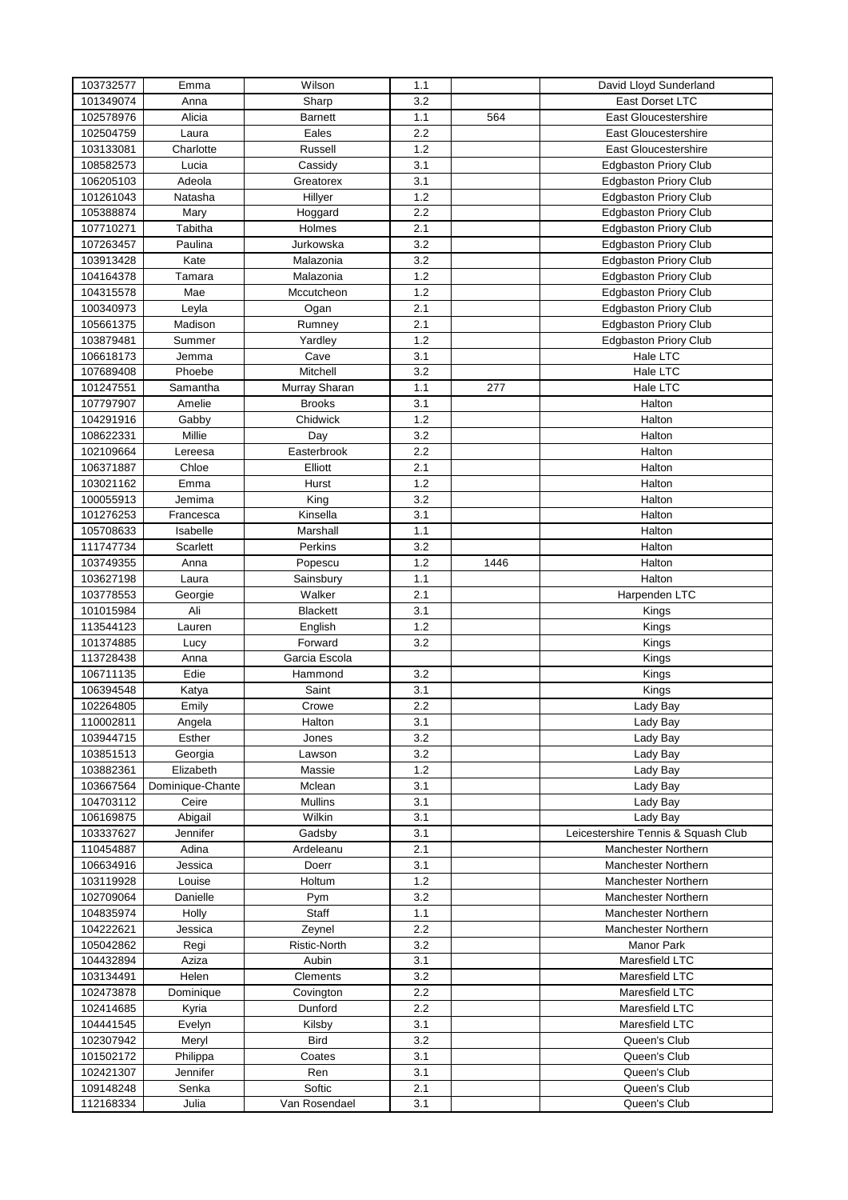| 103732577 | Emma             | Wilson          | 1.1 |      | David Lloyd Sunderland              |
|-----------|------------------|-----------------|-----|------|-------------------------------------|
| 101349074 | Anna             | Sharp           | 3.2 |      | East Dorset LTC                     |
| 102578976 | Alicia           | Barnett         | 1.1 | 564  | East Gloucestershire                |
| 102504759 | Laura            | Eales           | 2.2 |      | <b>East Gloucestershire</b>         |
| 103133081 | Charlotte        | Russell         | 1.2 |      | East Gloucestershire                |
| 108582573 | Lucia            | Cassidy         | 3.1 |      | <b>Edgbaston Priory Club</b>        |
| 106205103 | Adeola           | Greatorex       | 3.1 |      | <b>Edgbaston Priory Club</b>        |
|           |                  |                 | 1.2 |      |                                     |
| 101261043 | Natasha          | Hillyer         |     |      | <b>Edgbaston Priory Club</b>        |
| 105388874 | Mary             | Hoggard         | 2.2 |      | <b>Edgbaston Priory Club</b>        |
| 107710271 | Tabitha          | Holmes          | 2.1 |      | <b>Edgbaston Priory Club</b>        |
| 107263457 | Paulina          | Jurkowska       | 3.2 |      | <b>Edgbaston Priory Club</b>        |
| 103913428 | Kate             | Malazonia       | 3.2 |      | <b>Edgbaston Priory Club</b>        |
| 104164378 | Tamara           | Malazonia       | 1.2 |      | <b>Edgbaston Priory Club</b>        |
| 104315578 | Mae              | Mccutcheon      | 1.2 |      | <b>Edgbaston Priory Club</b>        |
| 100340973 | Leyla            | Ogan            | 2.1 |      | <b>Edgbaston Priory Club</b>        |
| 105661375 | Madison          | Rumney          | 2.1 |      | <b>Edgbaston Priory Club</b>        |
| 103879481 | Summer           | Yardley         | 1.2 |      | Edgbaston Priory Club               |
| 106618173 | Jemma            | Cave            | 3.1 |      | Hale LTC                            |
| 107689408 | Phoebe           | Mitchell        | 3.2 |      | Hale LTC                            |
| 101247551 | Samantha         | Murray Sharan   | 1.1 | 277  | Hale LTC                            |
| 107797907 | Amelie           | <b>Brooks</b>   | 3.1 |      | Halton                              |
|           |                  | Chidwick        | 1.2 |      |                                     |
| 104291916 | Gabby            |                 |     |      | Halton                              |
| 108622331 | Millie           | Day             | 3.2 |      | Halton                              |
| 102109664 | Lereesa          | Easterbrook     | 2.2 |      | Halton                              |
| 106371887 | Chloe            | Elliott         | 2.1 |      | Halton                              |
| 103021162 | Emma             | Hurst           | 1.2 |      | Halton                              |
| 100055913 | Jemima           | King            | 3.2 |      | Halton                              |
| 101276253 | Francesca        | Kinsella        | 3.1 |      | Halton                              |
| 105708633 | Isabelle         | Marshall        | 1.1 |      | Halton                              |
| 111747734 | Scarlett         | Perkins         | 3.2 |      | Halton                              |
| 103749355 | Anna             | Popescu         | 1.2 | 1446 | Halton                              |
| 103627198 | Laura            | Sainsbury       | 1.1 |      | Halton                              |
| 103778553 | Georgie          | Walker          | 2.1 |      | Harpenden LTC                       |
| 101015984 | Ali              | <b>Blackett</b> | 3.1 |      | Kings                               |
| 113544123 | Lauren           | English         | 1.2 |      | Kings                               |
| 101374885 |                  | Forward         | 3.2 |      | Kings                               |
|           | Lucy             |                 |     |      |                                     |
| 113728438 | Anna             | Garcia Escola   |     |      | Kings                               |
| 106711135 | Edie             | Hammond         | 3.2 |      | Kings                               |
| 106394548 | Katya            | Saint           | 3.1 |      | Kings                               |
| 102264805 | Emily            | Crowe           | 2.2 |      | Lady Bay                            |
| 110002811 | Angela           | Halton          | 3.1 |      | Lady Bay                            |
| 103944715 | Esther           | Jones           | 3.2 |      | Lady Bay                            |
| 103851513 | Georgia          | Lawson          | 3.2 |      | Lady Bay                            |
| 103882361 | Elizabeth        | Massie          | 1.2 |      | Lady Bay                            |
| 103667564 | Dominique-Chante | Mclean          | 3.1 |      | Lady Bay                            |
| 104703112 | Ceire            | <b>Mullins</b>  | 3.1 |      | Lady Bay                            |
| 106169875 | Abigail          | Wilkin          | 3.1 |      | Lady Bay                            |
| 103337627 | Jennifer         | Gadsby          | 3.1 |      | Leicestershire Tennis & Squash Club |
| 110454887 | Adina            | Ardeleanu       | 2.1 |      | Manchester Northern                 |
| 106634916 | Jessica          | Doerr           | 3.1 |      | Manchester Northern                 |
| 103119928 | Louise           | Holtum          | 1.2 |      | Manchester Northern                 |
|           |                  |                 |     |      |                                     |
| 102709064 | Danielle         | Pym             | 3.2 |      | Manchester Northern                 |
| 104835974 | Holly            | Staff           | 1.1 |      | Manchester Northern                 |
| 104222621 | Jessica          | Zeynel          | 2.2 |      | Manchester Northern                 |
| 105042862 | Regi             | Ristic-North    | 3.2 |      | Manor Park                          |
| 104432894 | Aziza            | Aubin           | 3.1 |      | Maresfield LTC                      |
| 103134491 | Helen            | Clements        | 3.2 |      | Maresfield LTC                      |
| 102473878 | Dominique        | Covington       | 2.2 |      | Maresfield LTC                      |
| 102414685 | Kyria            | Dunford         | 2.2 |      | Maresfield LTC                      |
| 104441545 | Evelyn           | Kilsby          | 3.1 |      | Maresfield LTC                      |
| 102307942 | Meryl            | <b>Bird</b>     | 3.2 |      | Queen's Club                        |
| 101502172 | Philippa         | Coates          | 3.1 |      | Queen's Club                        |
| 102421307 | Jennifer         | Ren             | 3.1 |      | Queen's Club                        |
| 109148248 | Senka            | Softic          | 2.1 |      | Queen's Club                        |
| 112168334 | Julia            | Van Rosendael   | 3.1 |      | Queen's Club                        |
|           |                  |                 |     |      |                                     |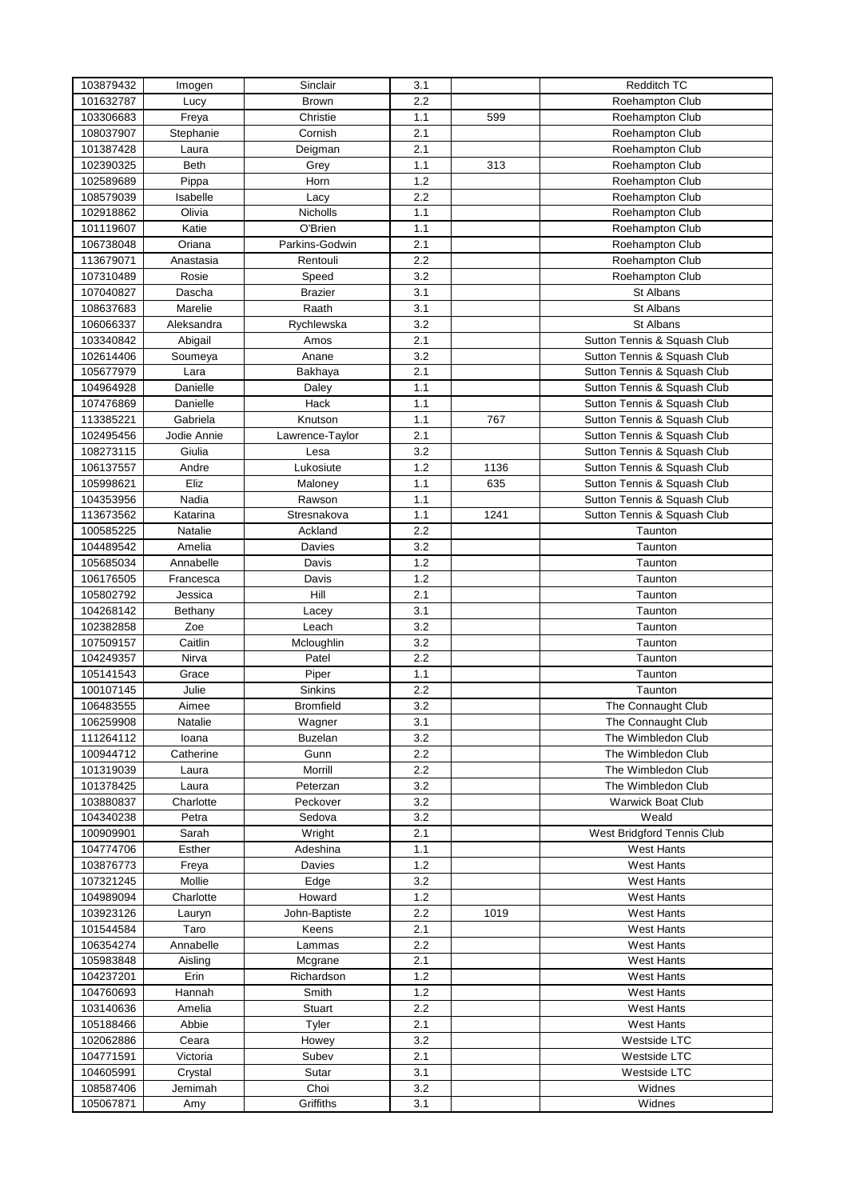| 103879432 | Imogen         | Sinclair         | 3.1     |      | Redditch TC                 |
|-----------|----------------|------------------|---------|------|-----------------------------|
| 101632787 | Lucy           | Brown            | 2.2     |      | Roehampton Club             |
| 103306683 | Freya          | Christie         | 1.1     | 599  | Roehampton Club             |
| 108037907 | Stephanie      | Cornish          | 2.1     |      | Roehampton Club             |
| 101387428 | Laura          | Deigman          | 2.1     |      | Roehampton Club             |
| 102390325 | Beth           | Grey             | 1.1     | 313  | Roehampton Club             |
| 102589689 | Pippa          | Horn             | 1.2     |      | Roehampton Club             |
| 108579039 | Isabelle       | Lacy             | 2.2     |      | Roehampton Club             |
| 102918862 | Olivia         | Nicholls         | 1.1     |      | Roehampton Club             |
| 101119607 | Katie          | O'Brien          | 1.1     |      | Roehampton Club             |
| 106738048 | Oriana         | Parkins-Godwin   | 2.1     |      | Roehampton Club             |
| 113679071 | Anastasia      | Rentouli         | 2.2     |      | Roehampton Club             |
| 107310489 | Rosie          | Speed            | 3.2     |      | Roehampton Club             |
| 107040827 | Dascha         | <b>Brazier</b>   | 3.1     |      | St Albans                   |
| 108637683 | Marelie        | Raath            | 3.1     |      | St Albans                   |
| 106066337 | Aleksandra     | Rychlewska       | 3.2     |      | St Albans                   |
| 103340842 | Abigail        | Amos             | 2.1     |      | Sutton Tennis & Squash Club |
| 102614406 | Soumeya        | Anane            | 3.2     |      | Sutton Tennis & Squash Club |
| 105677979 | Lara           | Bakhaya          | 2.1     |      | Sutton Tennis & Squash Club |
| 104964928 | Danielle       | Daley            | 1.1     |      | Sutton Tennis & Squash Club |
| 107476869 | Danielle       | Hack             | 1.1     |      | Sutton Tennis & Squash Club |
| 113385221 | Gabriela       | Knutson          | 1.1     | 767  | Sutton Tennis & Squash Club |
| 102495456 | Jodie Annie    | Lawrence-Taylor  | 2.1     |      | Sutton Tennis & Squash Club |
| 108273115 | Giulia         | Lesa             | 3.2     |      | Sutton Tennis & Squash Club |
| 106137557 | Andre          | Lukosiute        | 1.2     | 1136 | Sutton Tennis & Squash Club |
| 105998621 | Eliz           | Maloney          | 1.1     | 635  | Sutton Tennis & Squash Club |
| 104353956 | Nadia          | Rawson           | 1.1     |      | Sutton Tennis & Squash Club |
| 113673562 | Katarina       | Stresnakova      | 1.1     | 1241 | Sutton Tennis & Squash Club |
| 100585225 | Natalie        | Ackland          | 2.2     |      | Taunton                     |
| 104489542 | Amelia         | Davies           | 3.2     |      | Taunton                     |
| 105685034 | Annabelle      | Davis            | 1.2     |      | Taunton                     |
| 106176505 | Francesca      |                  | 1.2     |      | Taunton                     |
| 105802792 | Jessica        | Davis<br>Hill    | 2.1     |      | Taunton                     |
| 104268142 |                |                  | 3.1     |      | Taunton                     |
|           | Bethany        | Lacey            | 3.2     |      |                             |
| 102382858 | Zoe<br>Caitlin | Leach            | 3.2     |      | Taunton<br>Taunton          |
| 107509157 | Nirva          | Mcloughlin       | 2.2     |      |                             |
| 104249357 |                | Patel            |         |      | Taunton                     |
| 105141543 | Grace          | Piper            | 1.1     |      | Taunton                     |
| 100107145 | Julie          | Sinkins          | 2.2     |      | Taunton                     |
| 106483555 | Aimee          | <b>Bromfield</b> | 3.2     |      | The Connaught Club          |
| 106259908 | Natalie        | Wagner           | 3.1     |      | The Connaught Club          |
| 111264112 | loana          | <b>Buzelan</b>   | 3.2     |      | The Wimbledon Club          |
| 100944712 | Catherine      | Gunn             | 2.2     |      | The Wimbledon Club          |
| 101319039 | Laura          | Morrill          | 2.2     |      | The Wimbledon Club          |
| 101378425 | Laura          | Peterzan         | 3.2     |      | The Wimbledon Club          |
| 103880837 | Charlotte      | Peckover         | 3.2     |      | <b>Warwick Boat Club</b>    |
| 104340238 | Petra          | Sedova           | 3.2     |      | Weald                       |
| 100909901 | Sarah          | Wright           | 2.1     |      | West Bridgford Tennis Club  |
| 104774706 | Esther         | Adeshina         | 1.1     |      | <b>West Hants</b>           |
| 103876773 | Freya          | Davies           | 1.2     |      | <b>West Hants</b>           |
| 107321245 | Mollie         | Edge             | 3.2     |      | <b>West Hants</b>           |
| 104989094 | Charlotte      | Howard           | 1.2     |      | <b>West Hants</b>           |
| 103923126 | Lauryn         | John-Baptiste    | 2.2     | 1019 | <b>West Hants</b>           |
| 101544584 | Taro           | Keens            | 2.1     |      | <b>West Hants</b>           |
| 106354274 | Annabelle      | Lammas           | 2.2     |      | <b>West Hants</b>           |
| 105983848 | Aisling        | Mcgrane          | 2.1     |      | <b>West Hants</b>           |
| 104237201 | Erin           | Richardson       | 1.2     |      | West Hants                  |
| 104760693 | Hannah         | Smith            | 1.2     |      | West Hants                  |
| 103140636 | Amelia         | Stuart           | $2.2\,$ |      | <b>West Hants</b>           |
| 105188466 | Abbie          | Tyler            | 2.1     |      | West Hants                  |
| 102062886 | Ceara          | Howey            | 3.2     |      | Westside LTC                |
| 104771591 | Victoria       | Subev            | 2.1     |      | Westside LTC                |
| 104605991 | Crystal        | Sutar            | 3.1     |      | Westside LTC                |
| 108587406 | Jemimah        | Choi             | 3.2     |      | Widnes                      |
| 105067871 | Amy            | Griffiths        | 3.1     |      | Widnes                      |